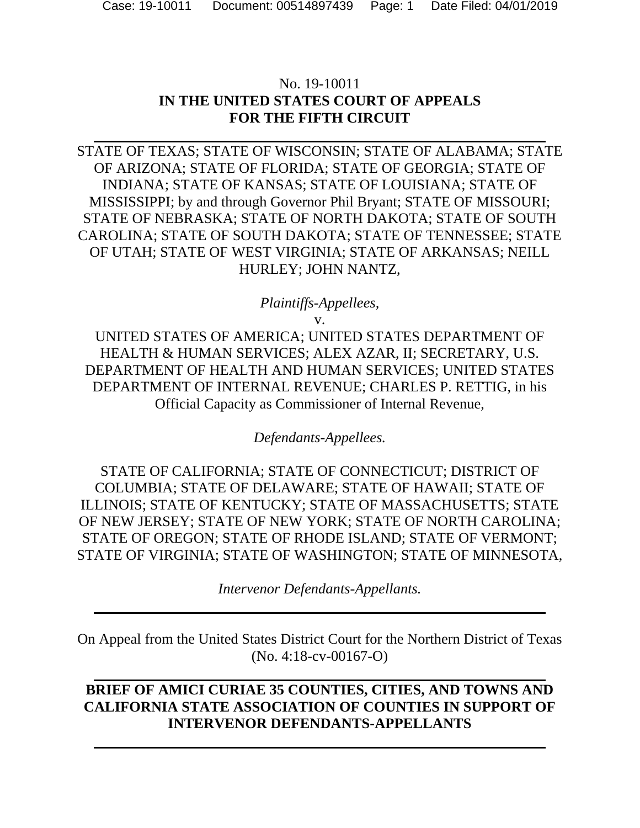### No. 19-10011 **IN THE UNITED STATES COURT OF APPEALS FOR THE FIFTH CIRCUIT**

STATE OF TEXAS; STATE OF WISCONSIN; STATE OF ALABAMA; STATE OF ARIZONA; STATE OF FLORIDA; STATE OF GEORGIA; STATE OF INDIANA; STATE OF KANSAS; STATE OF LOUISIANA; STATE OF MISSISSIPPI; by and through Governor Phil Bryant; STATE OF MISSOURI; STATE OF NEBRASKA; STATE OF NORTH DAKOTA; STATE OF SOUTH CAROLINA; STATE OF SOUTH DAKOTA; STATE OF TENNESSEE; STATE OF UTAH; STATE OF WEST VIRGINIA; STATE OF ARKANSAS; NEILL HURLEY; JOHN NANTZ,

### *Plaintiffs-Appellees,*

v.

UNITED STATES OF AMERICA; UNITED STATES DEPARTMENT OF HEALTH & HUMAN SERVICES; ALEX AZAR, II; SECRETARY, U.S. DEPARTMENT OF HEALTH AND HUMAN SERVICES; UNITED STATES DEPARTMENT OF INTERNAL REVENUE; CHARLES P. RETTIG, in his Official Capacity as Commissioner of Internal Revenue,

*Defendants-Appellees.* 

STATE OF CALIFORNIA; STATE OF CONNECTICUT; DISTRICT OF COLUMBIA; STATE OF DELAWARE; STATE OF HAWAII; STATE OF ILLINOIS; STATE OF KENTUCKY; STATE OF MASSACHUSETTS; STATE OF NEW JERSEY; STATE OF NEW YORK; STATE OF NORTH CAROLINA; STATE OF OREGON; STATE OF RHODE ISLAND; STATE OF VERMONT; STATE OF VIRGINIA; STATE OF WASHINGTON; STATE OF MINNESOTA,

*Intervenor Defendants-Appellants.* 

On Appeal from the United States District Court for the Northern District of Texas (No. 4:18-cv-00167-O)

### **BRIEF OF AMICI CURIAE 35 COUNTIES, CITIES, AND TOWNS AND CALIFORNIA STATE ASSOCIATION OF COUNTIES IN SUPPORT OF INTERVENOR DEFENDANTS-APPELLANTS**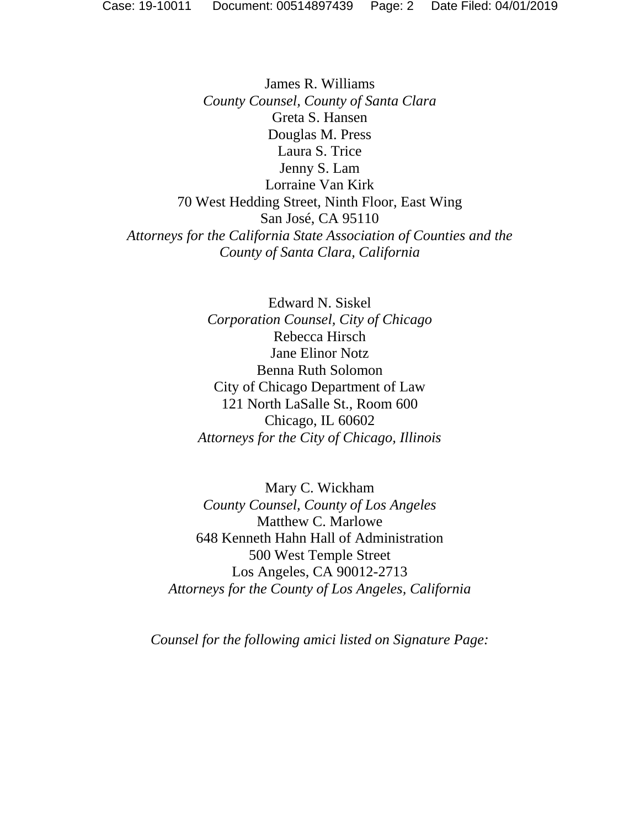James R. Williams *County Counsel, County of Santa Clara*  Greta S. Hansen Douglas M. Press Laura S. Trice Jenny S. Lam Lorraine Van Kirk 70 West Hedding Street, Ninth Floor, East Wing San José, CA 95110 *Attorneys for the California State Association of Counties and the County of Santa Clara, California* 

> Edward N. Siskel *Corporation Counsel, City of Chicago*  Rebecca Hirsch Jane Elinor Notz Benna Ruth Solomon City of Chicago Department of Law 121 North LaSalle St., Room 600 Chicago, IL 60602 *Attorneys for the City of Chicago, Illinois*

Mary C. Wickham *County Counsel, County of Los Angeles*  Matthew C. Marlowe 648 Kenneth Hahn Hall of Administration 500 West Temple Street Los Angeles, CA 90012-2713 *Attorneys for the County of Los Angeles, California* 

*Counsel for the following amici listed on Signature Page:*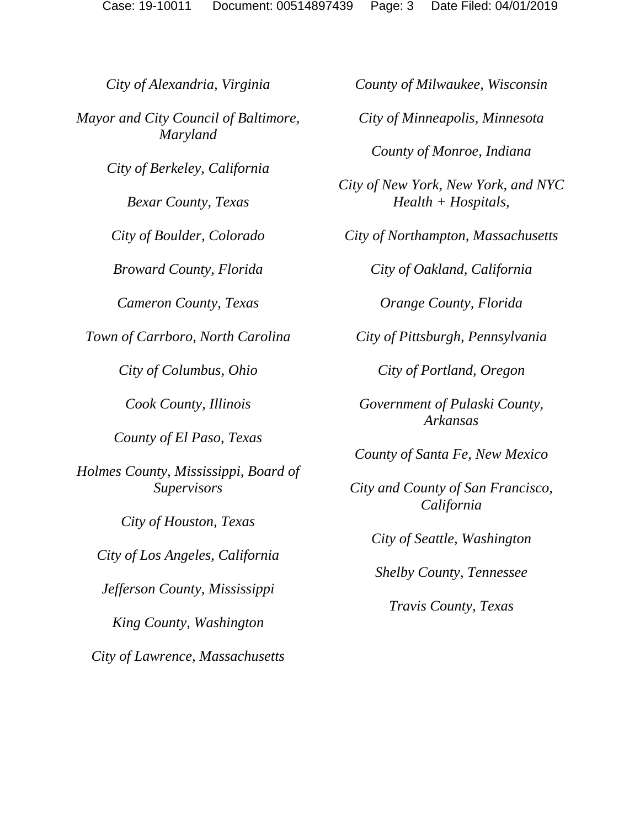*City of Alexandria, Virginia Mayor and City Council of Baltimore, Maryland City of Berkeley, California Bexar County, Texas City of Boulder, Colorado Broward County, Florida Cameron County, Texas Town of Carrboro, North Carolina City of Columbus, Ohio Cook County, Illinois County of El Paso, Texas Holmes County, Mississippi, Board of Supervisors City of Houston, Texas City of Los Angeles, California Jefferson County, Mississippi King County, Washington City of Lawrence, Massachusetts County of Milwaukee, Wisconsin City of Minneapolis, Minnesota County of Monroe, Indiana City of New York, New York, and NYC Health + Hospitals, City of Northampton, Massachusetts City of Oakland, California Orange County, Florida City of Pittsburgh, Pennsylvania City of Portland, Oregon Government of Pulaski County, Arkansas County of Santa Fe, New Mexico City and County of San Francisco, California City of Seattle, Washington Shelby County, Tennessee Travis County, Texas*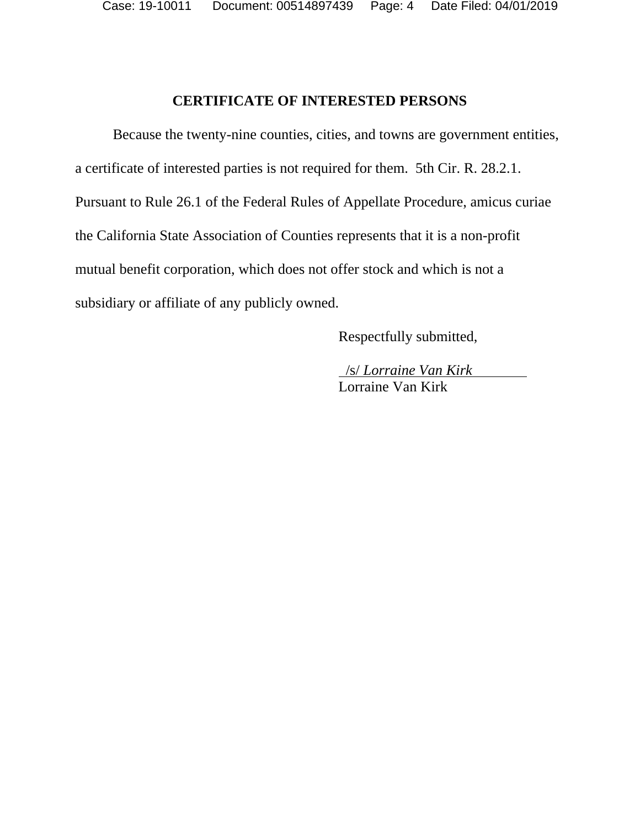Case: 19-10011 Document: 00514897439 Page: 4 Date Filed: 04/01/2019

#### **CERTIFICATE OF INTERESTED PERSONS**

Because the twenty-nine counties, cities, and towns are government entities, a certificate of interested parties is not required for them. 5th Cir. R. 28.2.1. Pursuant to Rule 26.1 of the Federal Rules of Appellate Procedure, amicus curiae the California State Association of Counties represents that it is a non-profit mutual benefit corporation, which does not offer stock and which is not a subsidiary or affiliate of any publicly owned.

Respectfully submitted,

 /s/ *Lorraine Van Kirk* Lorraine Van Kirk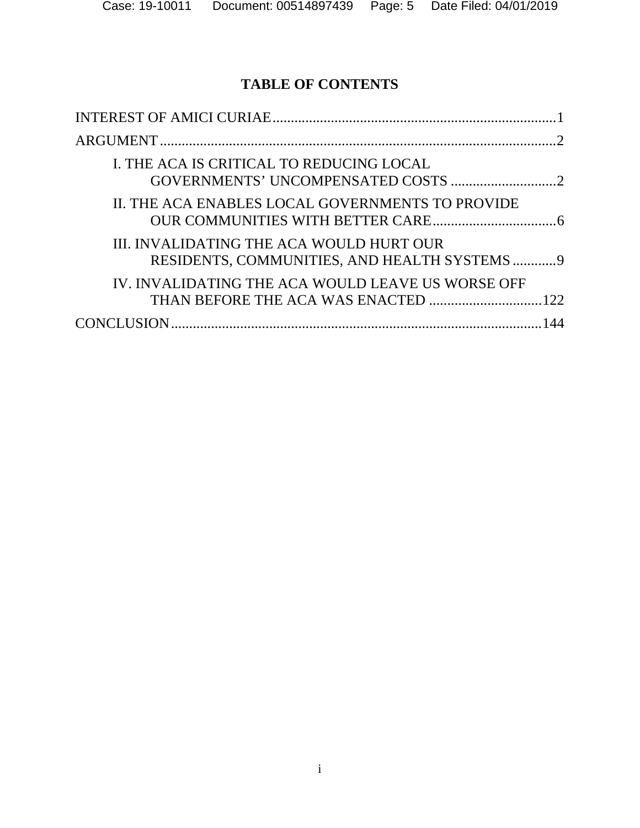## **TABLE OF CONTENTS**

| I. THE ACA IS CRITICAL TO REDUCING LOCAL                                                |
|-----------------------------------------------------------------------------------------|
| II. THE ACA ENABLES LOCAL GOVERNMENTS TO PROVIDE                                        |
| III. INVALIDATING THE ACA WOULD HURT OUR<br>RESIDENTS, COMMUNITIES, AND HEALTH SYSTEMS9 |
| IV. INVALIDATING THE ACA WOULD LEAVE US WORSE OFF                                       |
|                                                                                         |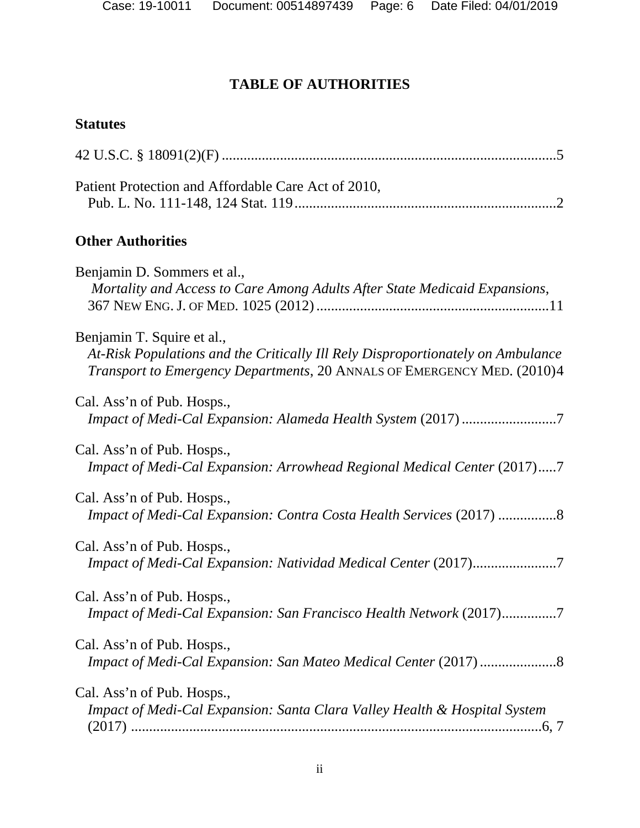# **TABLE OF AUTHORITIES**

# **Statutes**

| Patient Protection and Affordable Care Act of 2010,                                                                                                                                      |
|------------------------------------------------------------------------------------------------------------------------------------------------------------------------------------------|
| <b>Other Authorities</b>                                                                                                                                                                 |
| Benjamin D. Sommers et al.,<br>Mortality and Access to Care Among Adults After State Medicaid Expansions,                                                                                |
| Benjamin T. Squire et al.,<br>At-Risk Populations and the Critically Ill Rely Disproportionately on Ambulance<br>Transport to Emergency Departments, 20 ANNALS OF EMERGENCY MED. (2010)4 |
| Cal. Ass'n of Pub. Hosps.,<br>Impact of Medi-Cal Expansion: Alameda Health System (2017) 7                                                                                               |
| Cal. Ass'n of Pub. Hosps.,<br>Impact of Medi-Cal Expansion: Arrowhead Regional Medical Center (2017)7                                                                                    |
| Cal. Ass'n of Pub. Hosps.,<br>Impact of Medi-Cal Expansion: Contra Costa Health Services (2017) 8                                                                                        |
| Cal. Ass'n of Pub. Hosps.,<br>Impact of Medi-Cal Expansion: Natividad Medical Center (2017)7                                                                                             |
| Cal. Ass'n of Pub. Hosps.,<br>Impact of Medi-Cal Expansion: San Francisco Health Network (2017)7                                                                                         |
| Cal. Ass'n of Pub. Hosps.,                                                                                                                                                               |
| Cal. Ass'n of Pub. Hosps.,<br>Impact of Medi-Cal Expansion: Santa Clara Valley Health & Hospital System                                                                                  |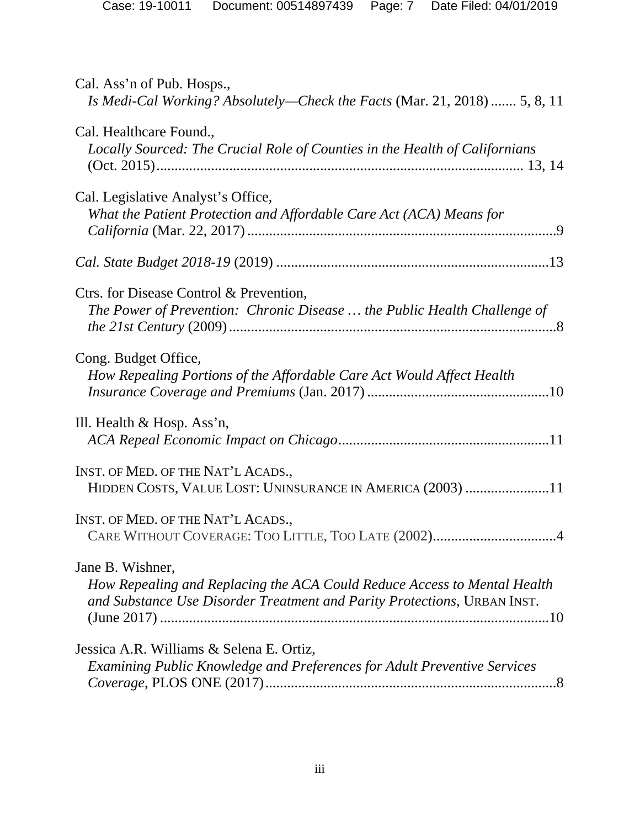| Cal. Ass'n of Pub. Hosps.,<br>Is Medi-Cal Working? Absolutely—Check the Facts (Mar. 21, 2018)  5, 8, 11                                                                  |
|--------------------------------------------------------------------------------------------------------------------------------------------------------------------------|
| Cal. Healthcare Found.,<br>Locally Sourced: The Crucial Role of Counties in the Health of Californians                                                                   |
| Cal. Legislative Analyst's Office,<br>What the Patient Protection and Affordable Care Act (ACA) Means for                                                                |
|                                                                                                                                                                          |
| Ctrs. for Disease Control & Prevention,<br>The Power of Prevention: Chronic Disease  the Public Health Challenge of                                                      |
| Cong. Budget Office,<br>How Repealing Portions of the Affordable Care Act Would Affect Health                                                                            |
| Ill. Health $\&$ Hosp. Ass'n,                                                                                                                                            |
| INST. OF MED. OF THE NAT'L ACADS.,<br>HIDDEN COSTS, VALUE LOST: UNINSURANCE IN AMERICA (2003) 11                                                                         |
| INST. OF MED. OF THE NAT'L ACADS.,<br>CARE WITHOUT COVERAGE: TOO LITTLE, TOO LATE (2002)4                                                                                |
| Jane B. Wishner,<br>How Repealing and Replacing the ACA Could Reduce Access to Mental Health<br>and Substance Use Disorder Treatment and Parity Protections, URBAN INST. |
| Jessica A.R. Williams & Selena E. Ortiz,<br>Examining Public Knowledge and Preferences for Adult Preventive Services                                                     |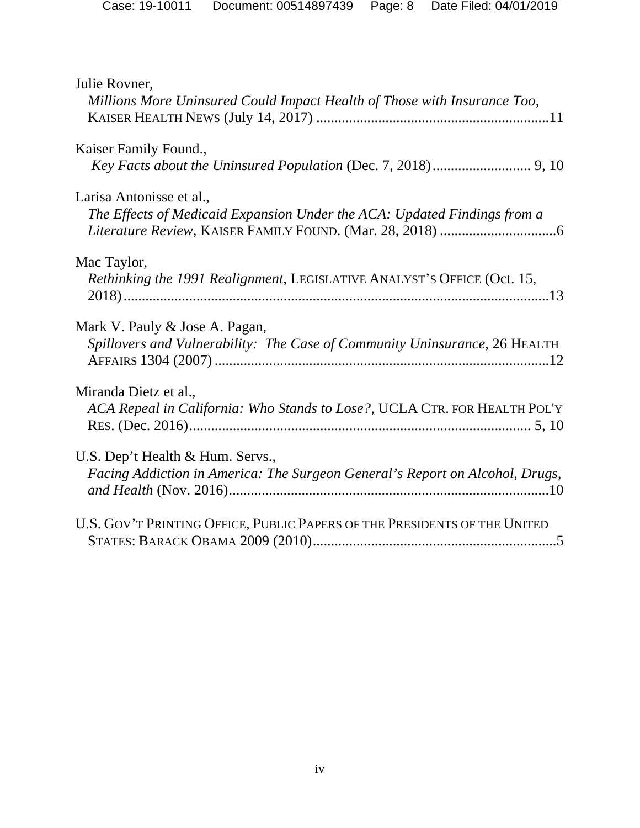| Julie Rovner,<br>Millions More Uninsured Could Impact Health of Those with Insurance Too,                        |  |
|------------------------------------------------------------------------------------------------------------------|--|
| Kaiser Family Found.,                                                                                            |  |
| Larisa Antonisse et al.,<br>The Effects of Medicaid Expansion Under the ACA: Updated Findings from a             |  |
| Mac Taylor,<br>Rethinking the 1991 Realignment, LEGISLATIVE ANALYST'S OFFICE (Oct. 15,                           |  |
| Mark V. Pauly & Jose A. Pagan,<br>Spillovers and Vulnerability: The Case of Community Uninsurance, 26 HEALTH     |  |
| Miranda Dietz et al.,<br>ACA Repeal in California: Who Stands to Lose?, UCLA CTR. FOR HEALTH POL'Y               |  |
| U.S. Dep't Health & Hum. Servs.,<br>Facing Addiction in America: The Surgeon General's Report on Alcohol, Drugs, |  |
| U.S. GOV'T PRINTING OFFICE, PUBLIC PAPERS OF THE PRESIDENTS OF THE UNITED                                        |  |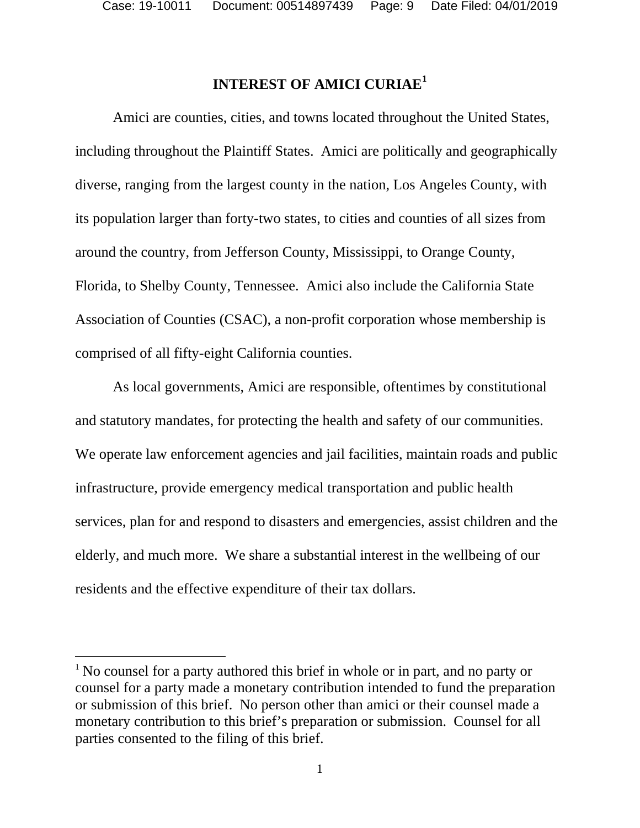$\overline{a}$ 

## **INTEREST OF AMICI CURIAE<sup>1</sup>**

Amici are counties, cities, and towns located throughout the United States, including throughout the Plaintiff States. Amici are politically and geographically diverse, ranging from the largest county in the nation, Los Angeles County, with its population larger than forty-two states, to cities and counties of all sizes from around the country, from Jefferson County, Mississippi, to Orange County, Florida, to Shelby County, Tennessee. Amici also include the California State Association of Counties (CSAC), a non-profit corporation whose membership is comprised of all fifty-eight California counties.

As local governments, Amici are responsible, oftentimes by constitutional and statutory mandates, for protecting the health and safety of our communities. We operate law enforcement agencies and jail facilities, maintain roads and public infrastructure, provide emergency medical transportation and public health services, plan for and respond to disasters and emergencies, assist children and the elderly, and much more. We share a substantial interest in the wellbeing of our residents and the effective expenditure of their tax dollars.

<sup>&</sup>lt;sup>1</sup> No counsel for a party authored this brief in whole or in part, and no party or counsel for a party made a monetary contribution intended to fund the preparation or submission of this brief. No person other than amici or their counsel made a monetary contribution to this brief's preparation or submission. Counsel for all parties consented to the filing of this brief.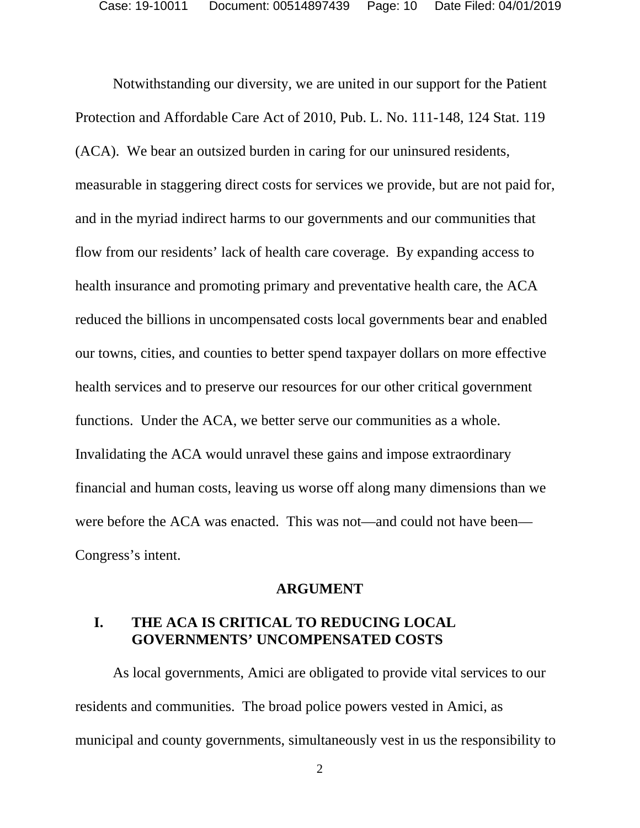Notwithstanding our diversity, we are united in our support for the Patient Protection and Affordable Care Act of 2010, Pub. L. No. 111-148, 124 Stat. 119 (ACA). We bear an outsized burden in caring for our uninsured residents, measurable in staggering direct costs for services we provide, but are not paid for, and in the myriad indirect harms to our governments and our communities that flow from our residents' lack of health care coverage. By expanding access to health insurance and promoting primary and preventative health care, the ACA reduced the billions in uncompensated costs local governments bear and enabled our towns, cities, and counties to better spend taxpayer dollars on more effective health services and to preserve our resources for our other critical government functions. Under the ACA, we better serve our communities as a whole. Invalidating the ACA would unravel these gains and impose extraordinary financial and human costs, leaving us worse off along many dimensions than we were before the ACA was enacted. This was not—and could not have been— Congress's intent.

#### **ARGUMENT**

### **I. THE ACA IS CRITICAL TO REDUCING LOCAL GOVERNMENTS' UNCOMPENSATED COSTS**

As local governments, Amici are obligated to provide vital services to our residents and communities. The broad police powers vested in Amici, as municipal and county governments, simultaneously vest in us the responsibility to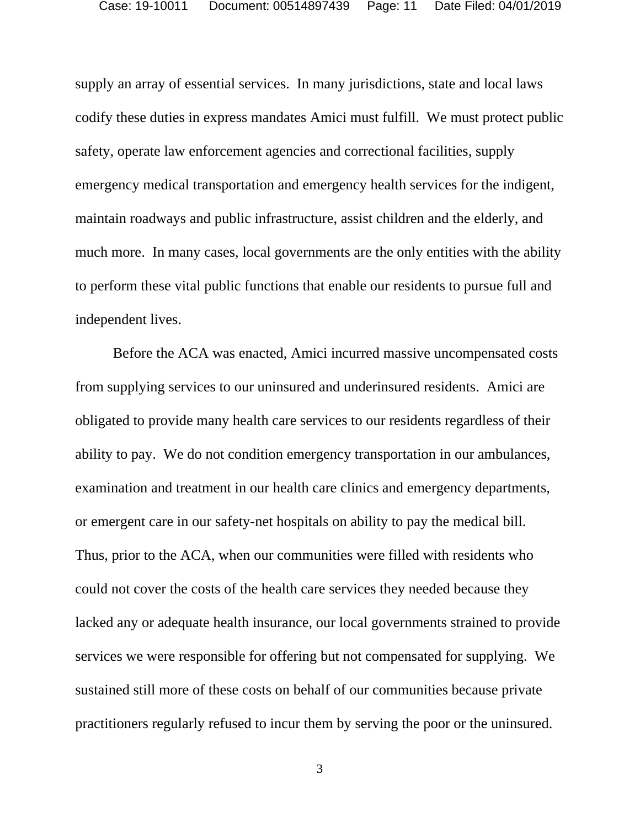supply an array of essential services. In many jurisdictions, state and local laws codify these duties in express mandates Amici must fulfill. We must protect public safety, operate law enforcement agencies and correctional facilities, supply emergency medical transportation and emergency health services for the indigent, maintain roadways and public infrastructure, assist children and the elderly, and much more. In many cases, local governments are the only entities with the ability to perform these vital public functions that enable our residents to pursue full and independent lives.

Before the ACA was enacted, Amici incurred massive uncompensated costs from supplying services to our uninsured and underinsured residents. Amici are obligated to provide many health care services to our residents regardless of their ability to pay. We do not condition emergency transportation in our ambulances, examination and treatment in our health care clinics and emergency departments, or emergent care in our safety-net hospitals on ability to pay the medical bill. Thus, prior to the ACA, when our communities were filled with residents who could not cover the costs of the health care services they needed because they lacked any or adequate health insurance, our local governments strained to provide services we were responsible for offering but not compensated for supplying. We sustained still more of these costs on behalf of our communities because private practitioners regularly refused to incur them by serving the poor or the uninsured.

3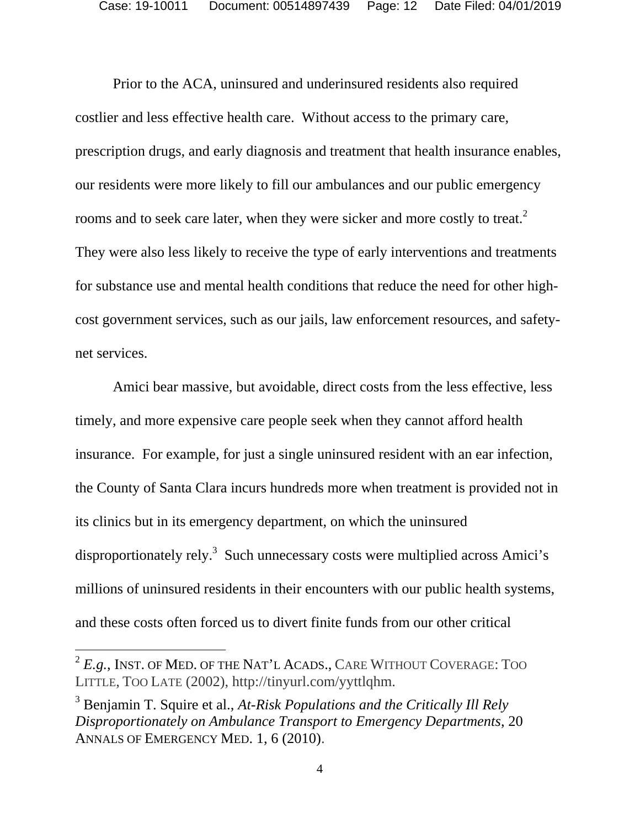Prior to the ACA, uninsured and underinsured residents also required costlier and less effective health care. Without access to the primary care, prescription drugs, and early diagnosis and treatment that health insurance enables, our residents were more likely to fill our ambulances and our public emergency rooms and to seek care later, when they were sicker and more costly to treat.<sup>2</sup> They were also less likely to receive the type of early interventions and treatments for substance use and mental health conditions that reduce the need for other highcost government services, such as our jails, law enforcement resources, and safetynet services.

Amici bear massive, but avoidable, direct costs from the less effective, less timely, and more expensive care people seek when they cannot afford health insurance. For example, for just a single uninsured resident with an ear infection, the County of Santa Clara incurs hundreds more when treatment is provided not in its clinics but in its emergency department, on which the uninsured disproportionately rely.<sup>3</sup> Such unnecessary costs were multiplied across Amici's millions of uninsured residents in their encounters with our public health systems, and these costs often forced us to divert finite funds from our other critical

 $2 E.g.,$  INST. OF MED. OF THE NAT'L ACADS., CARE WITHOUT COVERAGE: TOO LITTLE, TOO LATE (2002), http://tinyurl.com/yyttlqhm.

<sup>&</sup>lt;sup>3</sup> Benjamin T. Squire et al., *At-Risk Populations and the Critically Ill Rely Disproportionately on Ambulance Transport to Emergency Departments*, 20 ANNALS OF EMERGENCY MED. 1, 6 (2010).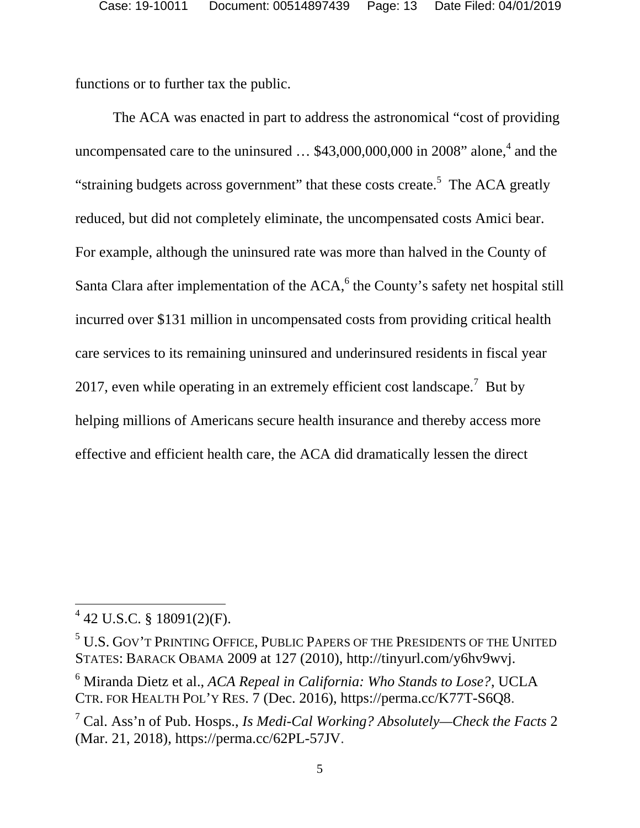functions or to further tax the public.

The ACA was enacted in part to address the astronomical "cost of providing uncompensated care to the uninsured  $\dots$  \$43,000,000,000 in 2008" alone,<sup>4</sup> and the "straining budgets across government" that these costs create.<sup>5</sup> The ACA greatly reduced, but did not completely eliminate, the uncompensated costs Amici bear. For example, although the uninsured rate was more than halved in the County of Santa Clara after implementation of the  $ACA$ , the County's safety net hospital still incurred over \$131 million in uncompensated costs from providing critical health care services to its remaining uninsured and underinsured residents in fiscal year 2017, even while operating in an extremely efficient cost landscape.<sup>7</sup> But by helping millions of Americans secure health insurance and thereby access more effective and efficient health care, the ACA did dramatically lessen the direct

 $4$  42 U.S.C. § 18091(2)(F).

 $^5$  U.S. Gov't Printing Office, Public Papers of the Presidents of the United STATES: BARACK OBAMA 2009 at 127 (2010), http://tinyurl.com/y6hv9wvj.

<sup>6</sup> Miranda Dietz et al., *ACA Repeal in California: Who Stands to Lose?*, UCLA CTR. FOR HEALTH POL'Y RES. 7 (Dec. 2016), https://perma.cc/K77T-S6Q8.

<sup>7</sup> Cal. Ass'n of Pub. Hosps., *Is Medi-Cal Working? Absolutely—Check the Facts* 2 (Mar. 21, 2018), https://perma.cc/62PL-57JV.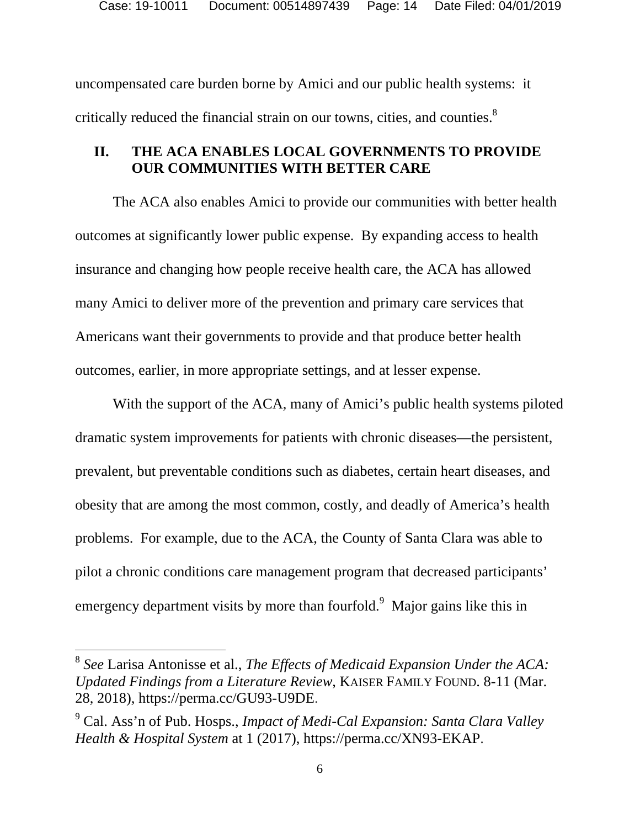uncompensated care burden borne by Amici and our public health systems: it critically reduced the financial strain on our towns, cities, and counties. $8$ 

### **II. THE ACA ENABLES LOCAL GOVERNMENTS TO PROVIDE OUR COMMUNITIES WITH BETTER CARE**

The ACA also enables Amici to provide our communities with better health outcomes at significantly lower public expense. By expanding access to health insurance and changing how people receive health care, the ACA has allowed many Amici to deliver more of the prevention and primary care services that Americans want their governments to provide and that produce better health outcomes, earlier, in more appropriate settings, and at lesser expense.

With the support of the ACA, many of Amici's public health systems piloted dramatic system improvements for patients with chronic diseases—the persistent, prevalent, but preventable conditions such as diabetes, certain heart diseases, and obesity that are among the most common, costly, and deadly of America's health problems. For example, due to the ACA, the County of Santa Clara was able to pilot a chronic conditions care management program that decreased participants' emergency department visits by more than fourfold.<sup>9</sup> Major gains like this in

<sup>8</sup> *See* Larisa Antonisse et al., *The Effects of Medicaid Expansion Under the ACA: Updated Findings from a Literature Review*, KAISER FAMILY FOUND. 8-11 (Mar. 28, 2018), https://perma.cc/GU93-U9DE.

<sup>9</sup> Cal. Ass'n of Pub. Hosps., *Impact of Medi-Cal Expansion: Santa Clara Valley Health & Hospital System* at 1 (2017), https://perma.cc/XN93-EKAP.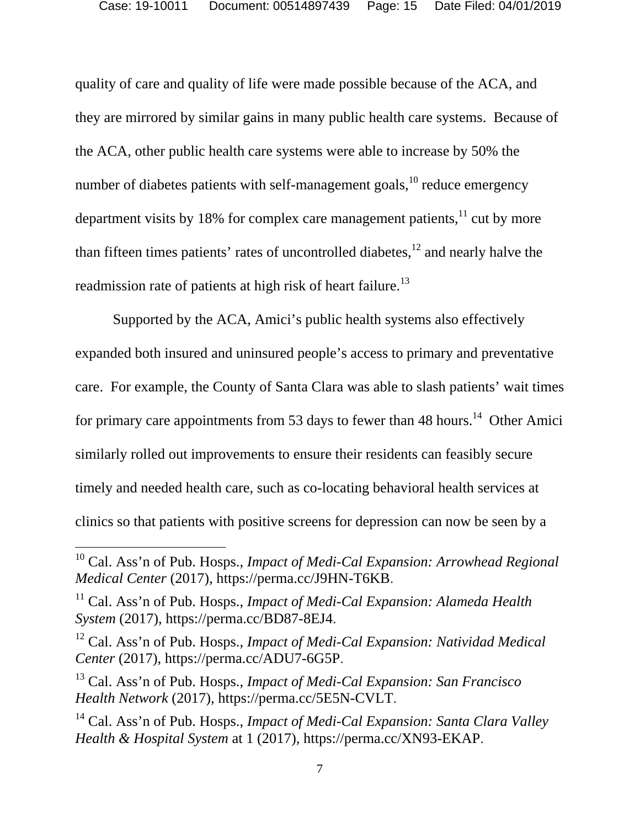quality of care and quality of life were made possible because of the ACA, and they are mirrored by similar gains in many public health care systems. Because of the ACA, other public health care systems were able to increase by 50% the number of diabetes patients with self-management goals,  $^{10}$  reduce emergency department visits by 18% for complex care management patients, $11$  cut by more than fifteen times patients' rates of uncontrolled diabetes, $12$  and nearly halve the readmission rate of patients at high risk of heart failure.<sup>13</sup>

Supported by the ACA, Amici's public health systems also effectively expanded both insured and uninsured people's access to primary and preventative care. For example, the County of Santa Clara was able to slash patients' wait times for primary care appointments from 53 days to fewer than 48 hours.<sup>14</sup> Other Amici similarly rolled out improvements to ensure their residents can feasibly secure timely and needed health care, such as co-locating behavioral health services at clinics so that patients with positive screens for depression can now be seen by a

<sup>&</sup>lt;sup>10</sup> Cal. Ass'n of Pub. Hosps., *Impact of Medi-Cal Expansion: Arrowhead Regional Medical Center* (2017), https://perma.cc/J9HN-T6KB.

<sup>11</sup> Cal. Ass'n of Pub. Hosps., *Impact of Medi-Cal Expansion: Alameda Health System* (2017), https://perma.cc/BD87-8EJ4.

<sup>12</sup> Cal. Ass'n of Pub. Hosps., *Impact of Medi-Cal Expansion: Natividad Medical Center* (2017), https://perma.cc/ADU7-6G5P.

<sup>13</sup> Cal. Ass'n of Pub. Hosps., *Impact of Medi-Cal Expansion: San Francisco Health Network* (2017), https://perma.cc/5E5N-CVLT.

<sup>14</sup> Cal. Ass'n of Pub. Hosps., *Impact of Medi-Cal Expansion: Santa Clara Valley Health & Hospital System* at 1 (2017), https://perma.cc/XN93-EKAP.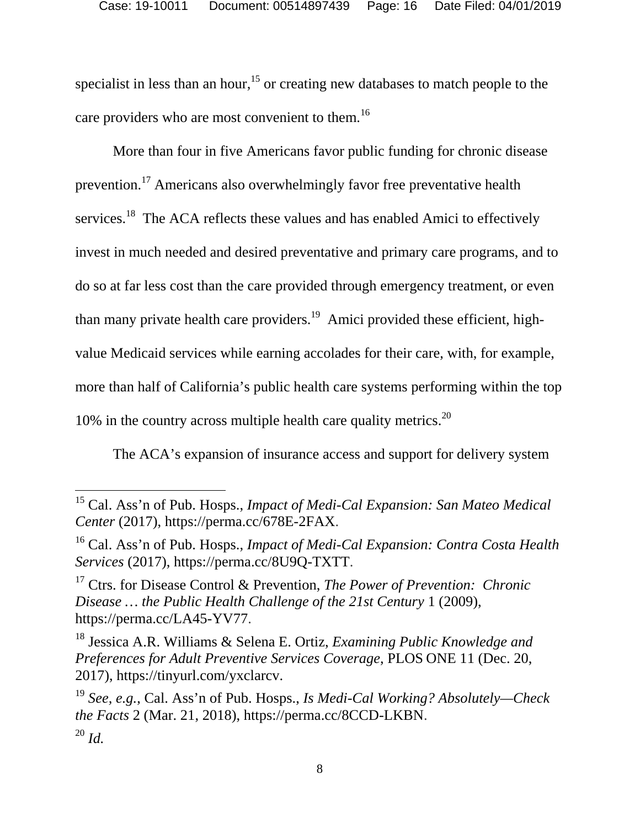specialist in less than an hour,<sup>15</sup> or creating new databases to match people to the care providers who are most convenient to them.<sup>16</sup>

More than four in five Americans favor public funding for chronic disease prevention.17 Americans also overwhelmingly favor free preventative health services.<sup>18</sup> The ACA reflects these values and has enabled Amici to effectively invest in much needed and desired preventative and primary care programs, and to do so at far less cost than the care provided through emergency treatment, or even than many private health care providers.<sup>19</sup> Amici provided these efficient, highvalue Medicaid services while earning accolades for their care, with, for example, more than half of California's public health care systems performing within the top 10% in the country across multiple health care quality metrics.<sup>20</sup>

The ACA's expansion of insurance access and support for delivery system

 $\overline{a}$ 

17 Ctrs. for Disease Control & Prevention, *The Power of Prevention: Chronic Disease … the Public Health Challenge of the 21st Century* 1 (2009), https://perma.cc/LA45-YV77.

18 Jessica A.R. Williams & Selena E. Ortiz, *Examining Public Knowledge and Preferences for Adult Preventive Services Coverage*, PLOS ONE 11 (Dec. 20, 2017), https://tinyurl.com/yxclarcv.

<sup>15</sup> Cal. Ass'n of Pub. Hosps., *Impact of Medi-Cal Expansion: San Mateo Medical Center* (2017), https://perma.cc/678E-2FAX.

<sup>16</sup> Cal. Ass'n of Pub. Hosps., *Impact of Medi-Cal Expansion: Contra Costa Health Services* (2017), https://perma.cc/8U9Q-TXTT.

<sup>19</sup> *See, e.g.*, Cal. Ass'n of Pub. Hosps., *Is Medi-Cal Working? Absolutely—Check the Facts* 2 (Mar. 21, 2018), https://perma.cc/8CCD-LKBN.  $^{20}$  *Id.*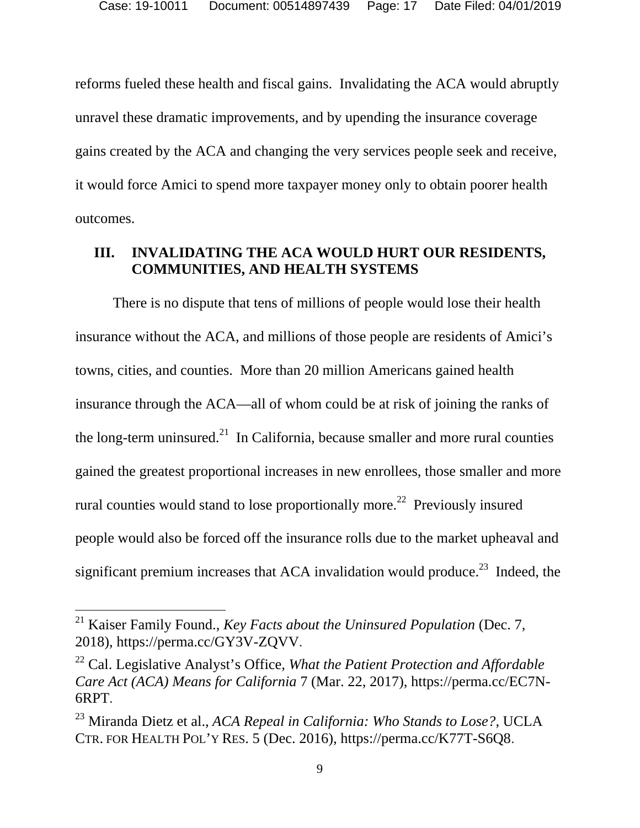reforms fueled these health and fiscal gains. Invalidating the ACA would abruptly unravel these dramatic improvements, and by upending the insurance coverage gains created by the ACA and changing the very services people seek and receive, it would force Amici to spend more taxpayer money only to obtain poorer health outcomes.

### **III. INVALIDATING THE ACA WOULD HURT OUR RESIDENTS, COMMUNITIES, AND HEALTH SYSTEMS**

There is no dispute that tens of millions of people would lose their health insurance without the ACA, and millions of those people are residents of Amici's towns, cities, and counties. More than 20 million Americans gained health insurance through the ACA—all of whom could be at risk of joining the ranks of the long-term uninsured.<sup>21</sup> In California, because smaller and more rural counties gained the greatest proportional increases in new enrollees, those smaller and more rural counties would stand to lose proportionally more.<sup>22</sup> Previously insured people would also be forced off the insurance rolls due to the market upheaval and significant premium increases that ACA invalidation would produce.<sup>23</sup> Indeed, the

<sup>21</sup> Kaiser Family Found., *Key Facts about the Uninsured Population* (Dec. 7, 2018), https://perma.cc/GY3V-ZQVV.

<sup>22</sup> Cal. Legislative Analyst's Office, *What the Patient Protection and Affordable Care Act (ACA) Means for California* 7 (Mar. 22, 2017), https://perma.cc/EC7N-6RPT.

<sup>23</sup> Miranda Dietz et al., *ACA Repeal in California: Who Stands to Lose?*, UCLA CTR. FOR HEALTH POL'Y RES. 5 (Dec. 2016), https://perma.cc/K77T-S6Q8.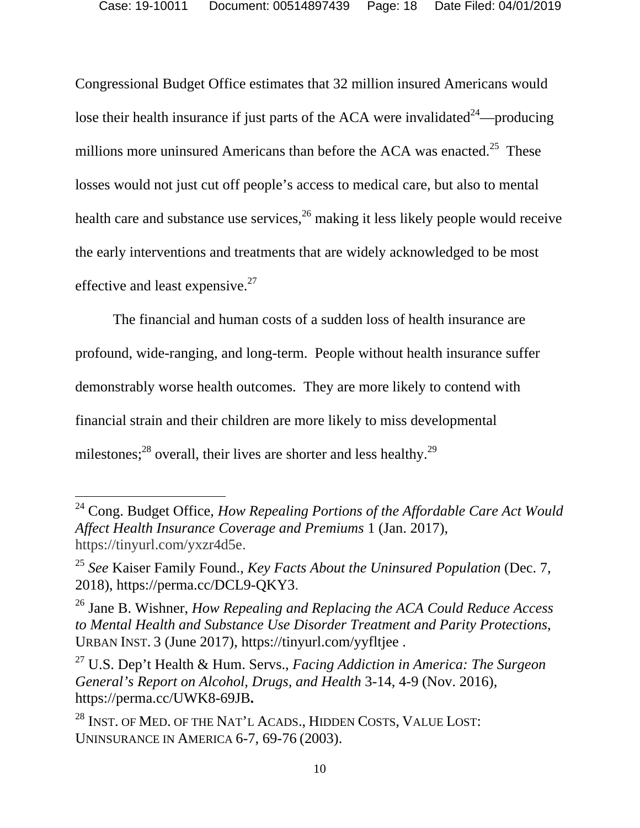Congressional Budget Office estimates that 32 million insured Americans would lose their health insurance if just parts of the ACA were invalidated<sup>24</sup>—producing millions more uninsured Americans than before the ACA was enacted.<sup>25</sup> These losses would not just cut off people's access to medical care, but also to mental health care and substance use services,  $^{26}$  making it less likely people would receive the early interventions and treatments that are widely acknowledged to be most effective and least expensive.<sup>27</sup>

The financial and human costs of a sudden loss of health insurance are profound, wide-ranging, and long-term. People without health insurance suffer demonstrably worse health outcomes. They are more likely to contend with financial strain and their children are more likely to miss developmental milestones;<sup>28</sup> overall, their lives are shorter and less healthy.<sup>29</sup>

<sup>24</sup> Cong. Budget Office, *How Repealing Portions of the Affordable Care Act Would Affect Health Insurance Coverage and Premiums* 1 (Jan. 2017), https://tinyurl.com/yxzr4d5e.

<sup>25</sup> *See* Kaiser Family Found., *Key Facts About the Uninsured Population* (Dec. 7, 2018), https://perma.cc/DCL9-QKY3.

<sup>26</sup> Jane B. Wishner, *How Repealing and Replacing the ACA Could Reduce Access to Mental Health and Substance Use Disorder Treatment and Parity Protections*, URBAN INST. 3 (June 2017), https://tinyurl.com/yyfltjee .

<sup>27</sup> U.S. Dep't Health & Hum. Servs., *Facing Addiction in America: The Surgeon General's Report on Alcohol, Drugs, and Health* 3-14, 4-9 (Nov. 2016), https://perma.cc/UWK8-69JB**.** 

<sup>&</sup>lt;sup>28</sup> INST. OF MED. OF THE NAT'L ACADS., HIDDEN COSTS, VALUE LOST: UNINSURANCE IN AMERICA 6-7, 69-76 (2003).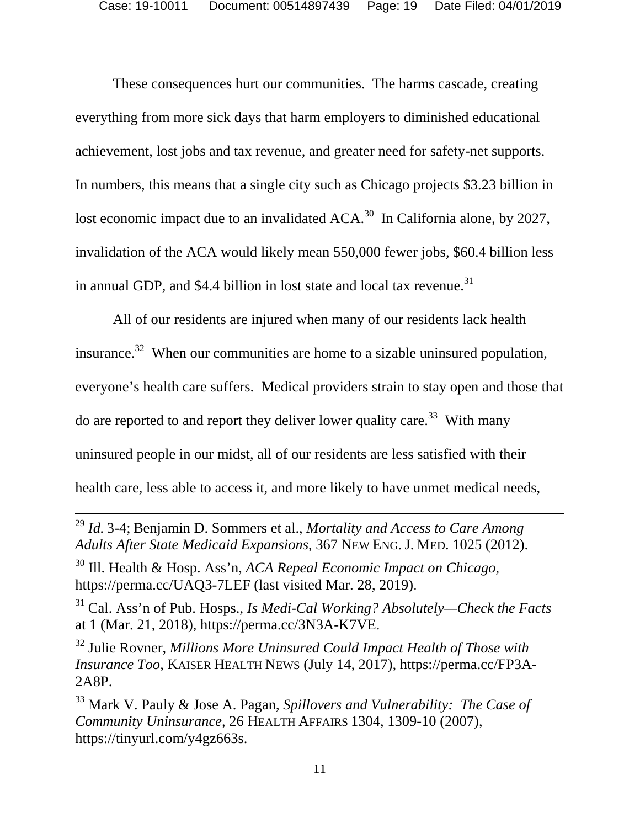These consequences hurt our communities. The harms cascade, creating everything from more sick days that harm employers to diminished educational achievement, lost jobs and tax revenue, and greater need for safety-net supports. In numbers, this means that a single city such as Chicago projects \$3.23 billion in lost economic impact due to an invalidated ACA.<sup>30</sup> In California alone, by 2027, invalidation of the ACA would likely mean 550,000 fewer jobs, \$60.4 billion less in annual GDP, and \$4.4 billion in lost state and local tax revenue.<sup>31</sup>

All of our residents are injured when many of our residents lack health insurance.<sup>32</sup> When our communities are home to a sizable uninsured population, everyone's health care suffers. Medical providers strain to stay open and those that do are reported to and report they deliver lower quality care.<sup>33</sup> With many uninsured people in our midst, all of our residents are less satisfied with their health care, less able to access it, and more likely to have unmet medical needs,

 <sup>29</sup> *Id.* 3-4; Benjamin D. Sommers et al., *Mortality and Access to Care Among Adults After State Medicaid Expansions*, 367 NEW ENG. J. MED. 1025 (2012).

<sup>30</sup> Ill. Health & Hosp. Ass'n, *ACA Repeal Economic Impact on Chicago*, https://perma.cc/UAQ3-7LEF (last visited Mar. 28, 2019).

<sup>31</sup> Cal. Ass'n of Pub. Hosps., *Is Medi-Cal Working? Absolutely—Check the Facts* at 1 (Mar. 21, 2018), https://perma.cc/3N3A-K7VE.

<sup>32</sup> Julie Rovner, *Millions More Uninsured Could Impact Health of Those with Insurance Too*, KAISER HEALTH NEWS (July 14, 2017), https://perma.cc/FP3A-2A8P.

<sup>33</sup> Mark V. Pauly & Jose A. Pagan, *Spillovers and Vulnerability: The Case of Community Uninsurance*, 26 HEALTH AFFAIRS 1304, 1309-10 (2007), https://tinyurl.com/y4gz663s.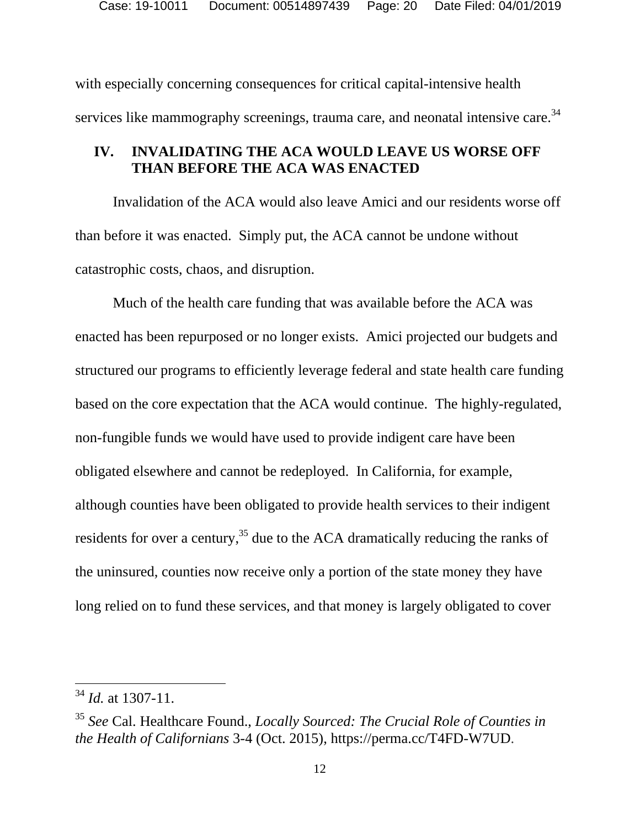with especially concerning consequences for critical capital-intensive health services like mammography screenings, trauma care, and neonatal intensive care.<sup>34</sup>

## **IV. INVALIDATING THE ACA WOULD LEAVE US WORSE OFF THAN BEFORE THE ACA WAS ENACTED**

Invalidation of the ACA would also leave Amici and our residents worse off than before it was enacted. Simply put, the ACA cannot be undone without catastrophic costs, chaos, and disruption.

Much of the health care funding that was available before the ACA was enacted has been repurposed or no longer exists. Amici projected our budgets and structured our programs to efficiently leverage federal and state health care funding based on the core expectation that the ACA would continue. The highly-regulated, non-fungible funds we would have used to provide indigent care have been obligated elsewhere and cannot be redeployed. In California, for example, although counties have been obligated to provide health services to their indigent residents for over a century,  $35$  due to the ACA dramatically reducing the ranks of the uninsured, counties now receive only a portion of the state money they have long relied on to fund these services, and that money is largely obligated to cover

<sup>34</sup> *Id.* at 1307-11.

<sup>35</sup> *See* Cal. Healthcare Found., *Locally Sourced: The Crucial Role of Counties in the Health of Californians* 3-4 (Oct. 2015), https://perma.cc/T4FD-W7UD.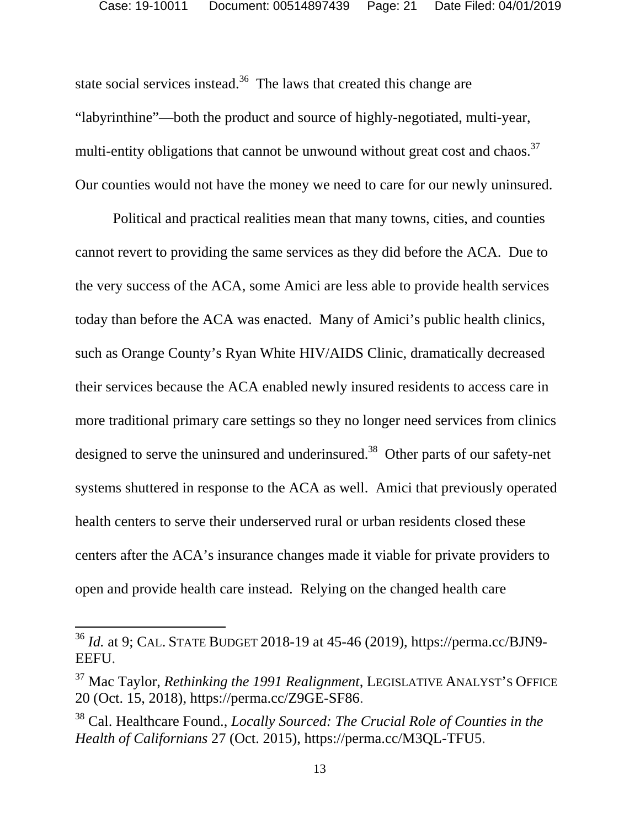state social services instead.<sup>36</sup> The laws that created this change are "labyrinthine"—both the product and source of highly-negotiated, multi-year, multi-entity obligations that cannot be unwound without great cost and chaos.<sup>37</sup> Our counties would not have the money we need to care for our newly uninsured.

Political and practical realities mean that many towns, cities, and counties cannot revert to providing the same services as they did before the ACA. Due to the very success of the ACA, some Amici are less able to provide health services today than before the ACA was enacted. Many of Amici's public health clinics, such as Orange County's Ryan White HIV/AIDS Clinic, dramatically decreased their services because the ACA enabled newly insured residents to access care in more traditional primary care settings so they no longer need services from clinics designed to serve the uninsured and underinsured.<sup>38</sup> Other parts of our safety-net systems shuttered in response to the ACA as well. Amici that previously operated health centers to serve their underserved rural or urban residents closed these centers after the ACA's insurance changes made it viable for private providers to open and provide health care instead. Relying on the changed health care

<sup>36</sup> *Id.* at 9; CAL. STATE BUDGET 2018-19 at 45-46 (2019), https://perma.cc/BJN9- EEFU.

<sup>37</sup> Mac Taylor, *Rethinking the 1991 Realignment*, LEGISLATIVE ANALYST'S OFFICE 20 (Oct. 15, 2018), https://perma.cc/Z9GE-SF86.

<sup>38</sup> Cal. Healthcare Found., *Locally Sourced: The Crucial Role of Counties in the Health of Californians* 27 (Oct. 2015), https://perma.cc/M3QL-TFU5.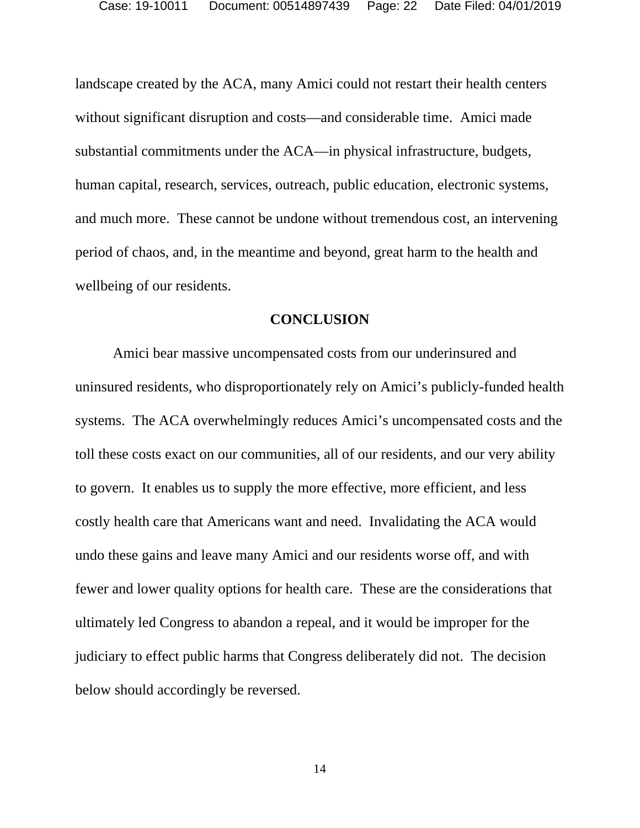landscape created by the ACA, many Amici could not restart their health centers without significant disruption and costs—and considerable time. Amici made substantial commitments under the ACA—in physical infrastructure, budgets, human capital, research, services, outreach, public education, electronic systems, and much more. These cannot be undone without tremendous cost, an intervening period of chaos, and, in the meantime and beyond, great harm to the health and wellbeing of our residents.

#### **CONCLUSION**

 Amici bear massive uncompensated costs from our underinsured and uninsured residents, who disproportionately rely on Amici's publicly-funded health systems. The ACA overwhelmingly reduces Amici's uncompensated costs and the toll these costs exact on our communities, all of our residents, and our very ability to govern. It enables us to supply the more effective, more efficient, and less costly health care that Americans want and need. Invalidating the ACA would undo these gains and leave many Amici and our residents worse off, and with fewer and lower quality options for health care. These are the considerations that ultimately led Congress to abandon a repeal, and it would be improper for the judiciary to effect public harms that Congress deliberately did not. The decision below should accordingly be reversed.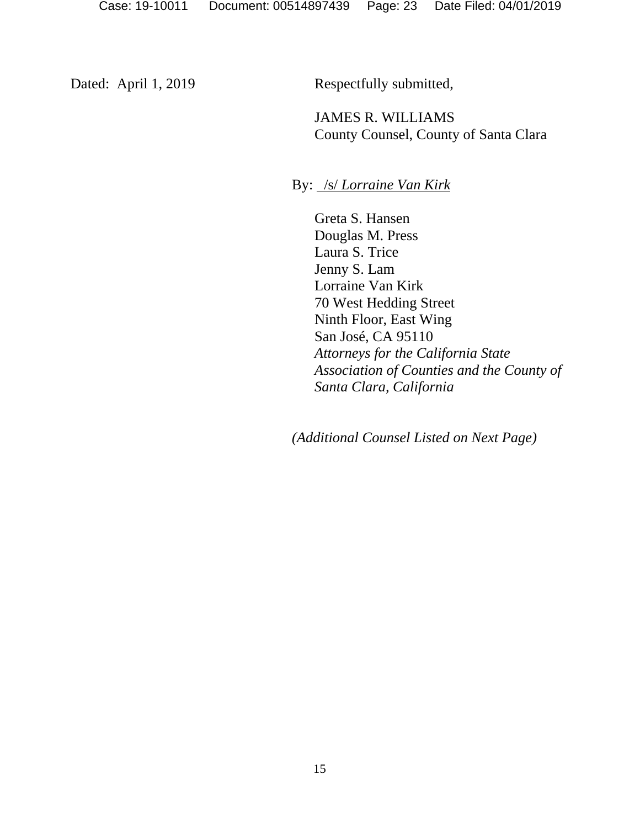Dated: April 1, 2019 Respectfully submitted,

JAMES R. WILLIAMS County Counsel, County of Santa Clara

By: /s/ *Lorraine Van Kirk* 

Greta S. Hansen Douglas M. Press Laura S. Trice Jenny S. Lam Lorraine Van Kirk 70 West Hedding Street Ninth Floor, East Wing San José, CA 95110 *Attorneys for the California State Association of Counties and the County of Santa Clara, California* 

*(Additional Counsel Listed on Next Page)*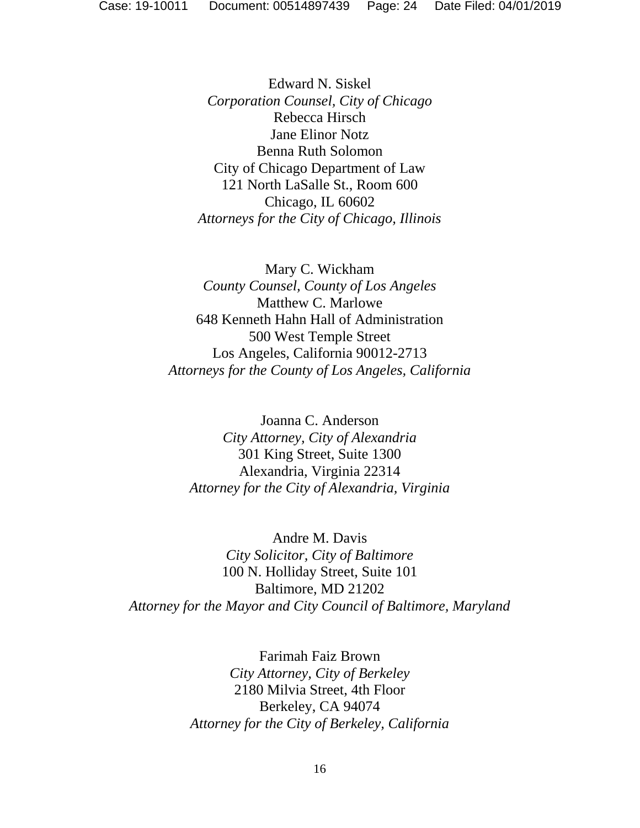Edward N. Siskel *Corporation Counsel, City of Chicago*  Rebecca Hirsch Jane Elinor Notz Benna Ruth Solomon City of Chicago Department of Law 121 North LaSalle St., Room 600 Chicago, IL 60602 *Attorneys for the City of Chicago, Illinois* 

Mary C. Wickham *County Counsel, County of Los Angeles*  Matthew C. Marlowe 648 Kenneth Hahn Hall of Administration 500 West Temple Street Los Angeles, California 90012-2713 *Attorneys for the County of Los Angeles, California* 

Joanna C. Anderson *City Attorney, City of Alexandria*  301 King Street, Suite 1300 Alexandria, Virginia 22314 *Attorney for the City of Alexandria, Virginia* 

Andre M. Davis *City Solicitor, City of Baltimore*  100 N. Holliday Street, Suite 101 Baltimore, MD 21202 *Attorney for the Mayor and City Council of Baltimore, Maryland* 

> Farimah Faiz Brown *City Attorney, City of Berkeley*  2180 Milvia Street, 4th Floor Berkeley, CA 94074 *Attorney for the City of Berkeley, California*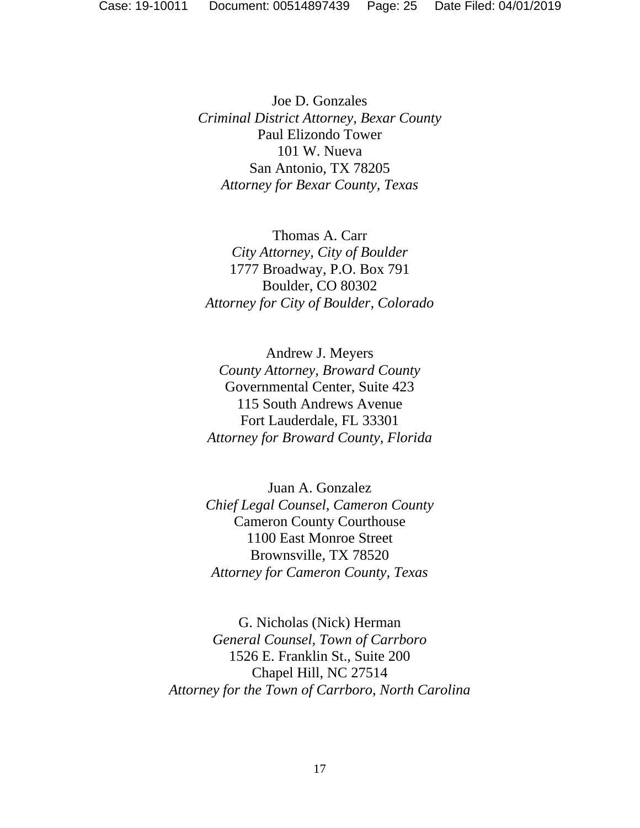Joe D. Gonzales *Criminal District Attorney, Bexar County*  Paul Elizondo Tower 101 W. Nueva San Antonio, TX 78205 *Attorney for Bexar County, Texas* 

Thomas A. Carr *City Attorney, City of Boulder*  1777 Broadway, P.O. Box 791 Boulder, CO 80302 *Attorney for City of Boulder, Colorado* 

Andrew J. Meyers *County Attorney, Broward County*  Governmental Center, Suite 423 115 South Andrews Avenue Fort Lauderdale, FL 33301 *Attorney for Broward County, Florida* 

Juan A. Gonzalez *Chief Legal Counsel, Cameron County*  Cameron County Courthouse 1100 East Monroe Street Brownsville, TX 78520 *Attorney for Cameron County, Texas* 

G. Nicholas (Nick) Herman *General Counsel, Town of Carrboro*  1526 E. Franklin St., Suite 200 Chapel Hill, NC 27514 *Attorney for the Town of Carrboro, North Carolina*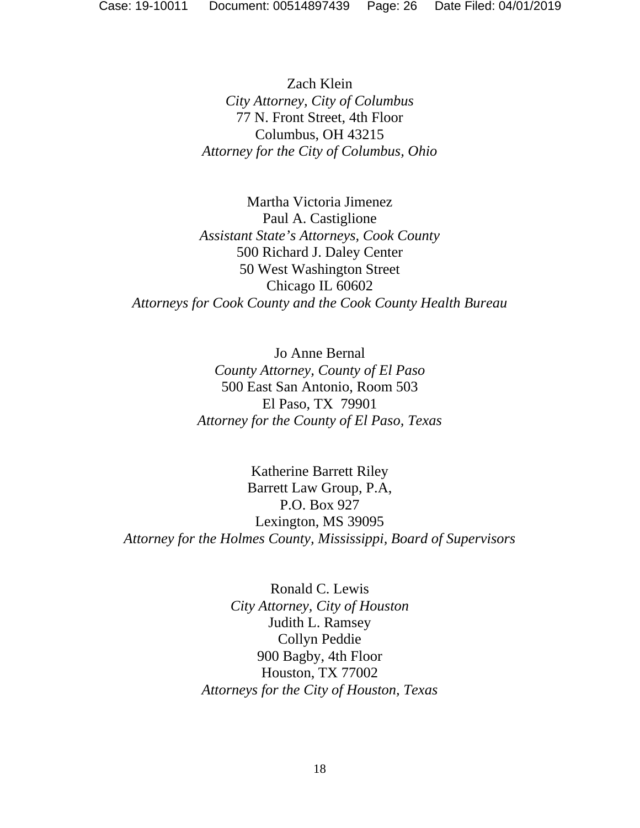Zach Klein *City Attorney, City of Columbus*  77 N. Front Street, 4th Floor Columbus, OH 43215 *Attorney for the City of Columbus, Ohio* 

Martha Victoria Jimenez Paul A. Castiglione *Assistant State's Attorneys, Cook County*  500 Richard J. Daley Center 50 West Washington Street Chicago IL 60602 *Attorneys for Cook County and the Cook County Health Bureau* 

> Jo Anne Bernal *County Attorney, County of El Paso*  500 East San Antonio, Room 503 El Paso, TX 79901 *Attorney for the County of El Paso, Texas*

Katherine Barrett Riley Barrett Law Group, P.A, P.O. Box 927 Lexington, MS 39095 *Attorney for the Holmes County, Mississippi, Board of Supervisors* 

> Ronald C. Lewis *City Attorney, City of Houston*  Judith L. Ramsey Collyn Peddie 900 Bagby, 4th Floor Houston, TX 77002 *Attorneys for the City of Houston, Texas*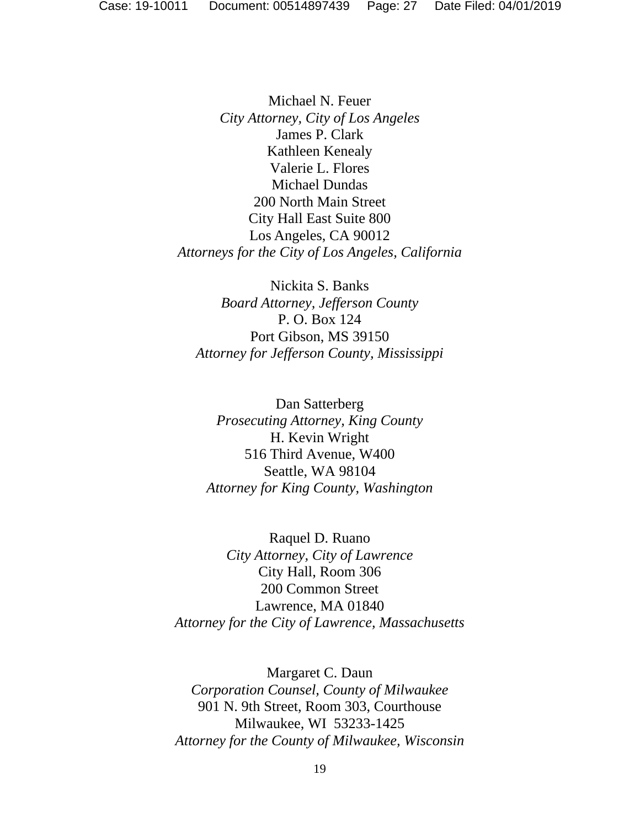Michael N. Feuer *City Attorney, City of Los Angeles* James P. Clark Kathleen Kenealy Valerie L. Flores Michael Dundas 200 North Main Street City Hall East Suite 800 Los Angeles, CA 90012 *Attorneys for the City of Los Angeles, California* 

Nickita S. Banks *Board Attorney, Jefferson County*  P. O. Box 124 Port Gibson, MS 39150 *Attorney for Jefferson County, Mississippi* 

Dan Satterberg *Prosecuting Attorney, King County*  H. Kevin Wright 516 Third Avenue, W400 Seattle, WA 98104 *Attorney for King County, Washington* 

Raquel D. Ruano *City Attorney, City of Lawrence*  City Hall, Room 306 200 Common Street Lawrence, MA 01840 *Attorney for the City of Lawrence, Massachusetts* 

Margaret C. Daun *Corporation Counsel, County of Milwaukee*  901 N. 9th Street, Room 303, Courthouse Milwaukee, WI 53233-1425 *Attorney for the County of Milwaukee, Wisconsin*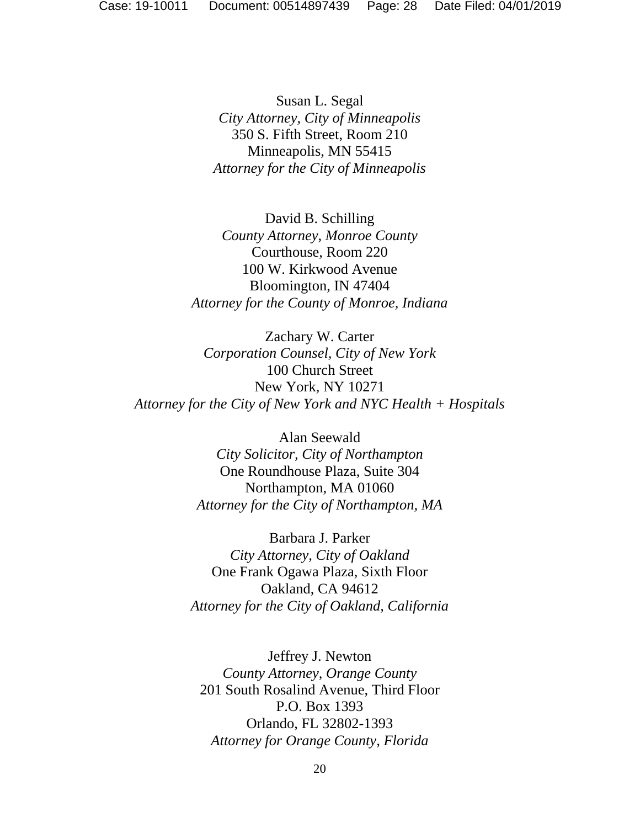Susan L. Segal *City Attorney, City of Minneapolis*  350 S. Fifth Street, Room 210 Minneapolis, MN 55415 *Attorney for the City of Minneapolis* 

David B. Schilling *County Attorney, Monroe County*  Courthouse, Room 220 100 W. Kirkwood Avenue Bloomington, IN 47404 *Attorney for the County of Monroe, Indiana* 

Zachary W. Carter *Corporation Counsel, City of New York*  100 Church Street New York, NY 10271 *Attorney for the City of New York and NYC Health + Hospitals* 

> Alan Seewald *City Solicitor, City of Northampton*  One Roundhouse Plaza, Suite 304 Northampton, MA 01060 *Attorney for the City of Northampton, MA*

Barbara J. Parker *City Attorney, City of Oakland*  One Frank Ogawa Plaza, Sixth Floor Oakland, CA 94612 *Attorney for the City of Oakland, California* 

Jeffrey J. Newton *County Attorney, Orange County*  201 South Rosalind Avenue, Third Floor P.O. Box 1393 Orlando, FL 32802-1393 *Attorney for Orange County, Florida*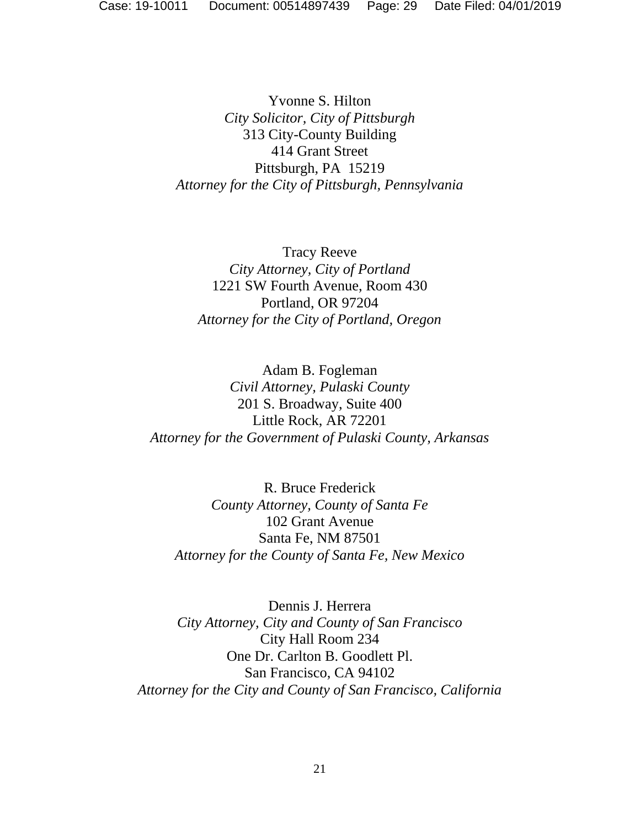Yvonne S. Hilton *City Solicitor, City of Pittsburgh*  313 City-County Building 414 Grant Street Pittsburgh, PA 15219 *Attorney for the City of Pittsburgh, Pennsylvania* 

Tracy Reeve *City Attorney, City of Portland*  1221 SW Fourth Avenue, Room 430 Portland, OR 97204 *Attorney for the City of Portland, Oregon* 

Adam B. Fogleman *Civil Attorney, Pulaski County*  201 S. Broadway, Suite 400 Little Rock, AR 72201 *Attorney for the Government of Pulaski County, Arkansas* 

R. Bruce Frederick *County Attorney, County of Santa Fe*  102 Grant Avenue Santa Fe, NM 87501 *Attorney for the County of Santa Fe, New Mexico* 

Dennis J. Herrera *City Attorney, City and County of San Francisco*  City Hall Room 234 One Dr. Carlton B. Goodlett Pl. San Francisco, CA 94102 *Attorney for the City and County of San Francisco, California*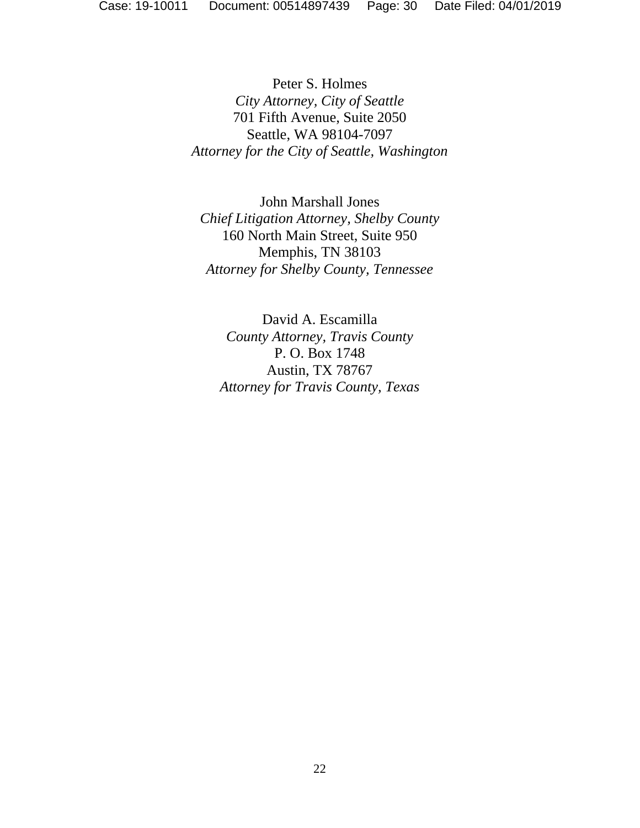Peter S. Holmes *City Attorney, City of Seattle*  701 Fifth Avenue, Suite 2050 Seattle, WA 98104-7097 *Attorney for the City of Seattle, Washington* 

John Marshall Jones *Chief Litigation Attorney, Shelby County*  160 North Main Street, Suite 950 Memphis, TN 38103 *Attorney for Shelby County, Tennessee* 

David A. Escamilla *County Attorney, Travis County*  P. O. Box 1748 Austin, TX 78767 *Attorney for Travis County, Texas*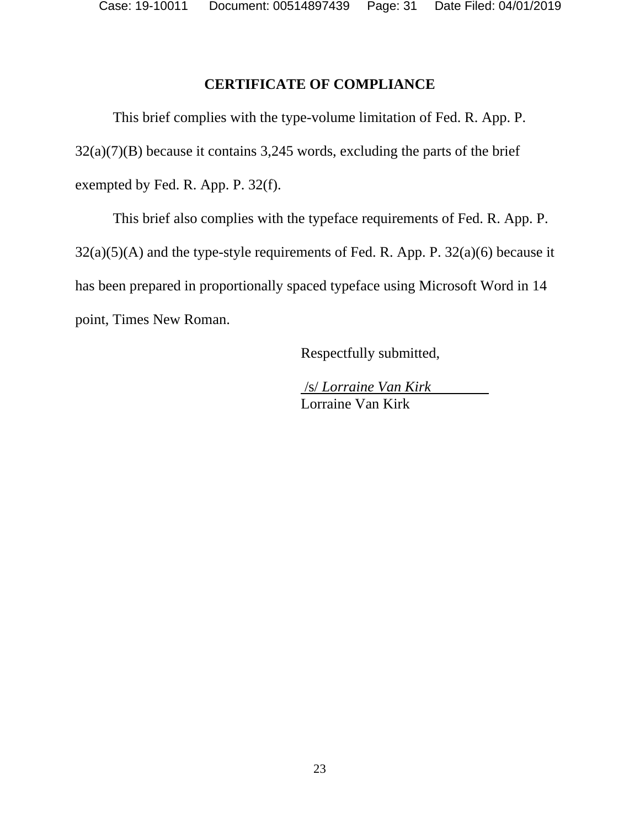Case: 19-10011 Document: 00514897439 Page: 31 Date Filed: 04/01/2019

### **CERTIFICATE OF COMPLIANCE**

 This brief complies with the type-volume limitation of Fed. R. App. P. 32(a)(7)(B) because it contains 3,245 words, excluding the parts of the brief exempted by Fed. R. App. P. 32(f).

 This brief also complies with the typeface requirements of Fed. R. App. P.  $32(a)(5)(A)$  and the type-style requirements of Fed. R. App. P.  $32(a)(6)$  because it has been prepared in proportionally spaced typeface using Microsoft Word in 14 point, Times New Roman.

Respectfully submitted,

 /s/ *Lorraine Van Kirk* Lorraine Van Kirk